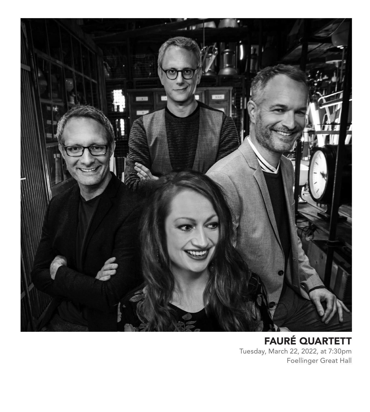

FAURÉ QUARTETT Tuesday, March 22, 2022, at 7:30pm Foellinger Great Hall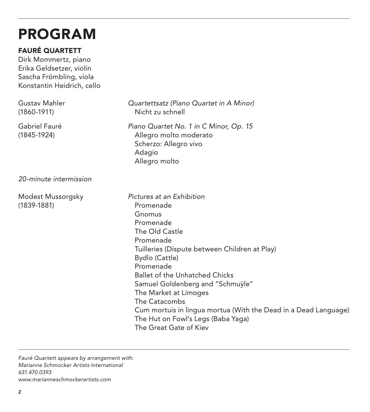# PROGRAM

### FAURÉ QUARTETT

Dirk Mommertz, piano Erika Geldsetzer, violin Sascha Frömbling, viola Konstantin Heidrich, cello

| Gustav Mahler<br>(1860-1911)     | Quartettsatz (Piano Quartet in A Minor)<br>Nicht zu schnell                                                                                                                                                                                                                                                                                                                                                                            |
|----------------------------------|----------------------------------------------------------------------------------------------------------------------------------------------------------------------------------------------------------------------------------------------------------------------------------------------------------------------------------------------------------------------------------------------------------------------------------------|
| Gabriel Fauré<br>(1845-1924)     | Piano Quartet No. 1 in C Minor, Op. 15<br>Allegro molto moderato<br>Scherzo: Allegro vivo<br>Adagio<br>Allegro molto                                                                                                                                                                                                                                                                                                                   |
| 20-minute intermission           |                                                                                                                                                                                                                                                                                                                                                                                                                                        |
| Modest Mussorgsky<br>(1839-1881) | Pictures at an Exhibition<br>Promenade<br>Gnomus<br>Promenade<br>The Old Castle<br>Promenade<br>Tuilleries (Dispute between Children at Play)<br>Bydlo (Cattle)<br>Promenade<br><b>Ballet of the Unhatched Chicks</b><br>Samuel Goldenberg and "Schmuyle"<br>The Market at Limoges<br>The Catacombs<br>Cum mortuis in lingua mortua (With the Dead in a Dead Language)<br>The Hut on Fowl's Legs (Baba Yaga)<br>The Great Gate of Kiev |

*Fauré Quartett appears by arrangement with: Marianne Schmocker Artists International 631.470.0393 www.marianneschmockerartists.com*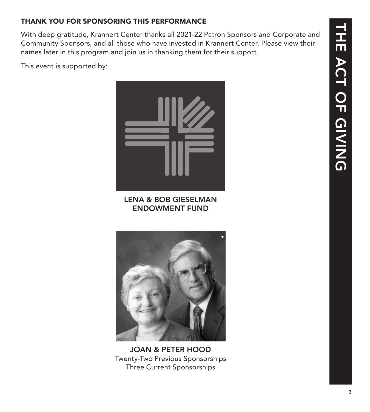### THANK YOU FOR SPONSORING THIS PERFORMANCE

With deep gratitude, Krannert Center thanks all 2021-22 Patron Sponsors and Corporate and Community Sponsors, and all those who have invested in Krannert Center. Please view their names later in this program and join us in thanking them for their support.

This event is supported by:



LENA & BOB GIESELMAN ENDOWMENT FUND



JOAN & PETER HOOD Twenty-Two Previous Sponsorships Three Current Sponsorships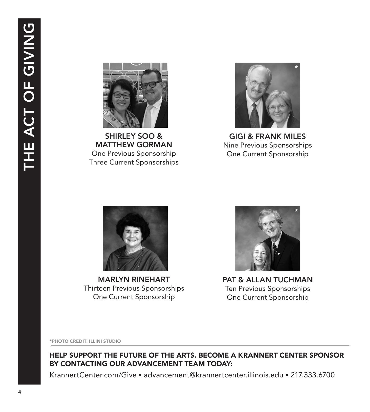

SHIRLEY SOO & MATTHEW GORMAN One Previous Sponsorship Three Current Sponsorships



GIGI & FRANK MILES Nine Previous Sponsorships One Current Sponsorship



MARLYN RINEHART Thirteen Previous Sponsorships One Current Sponsorship



PAT & ALLAN TUCHMAN Ten Previous Sponsorships One Current Sponsorship

\*PHOTO CREDIT: ILLINI STUDIO

HELP SUPPORT THE FUTURE OF THE ARTS. BECOME A KRANNERT CENTER SPONSOR BY CONTACTING OUR ADVANCEMENT TEAM TODAY:

KrannertCenter.com/Give • advancement@krannertcenter.illinois.edu • 217.333.6700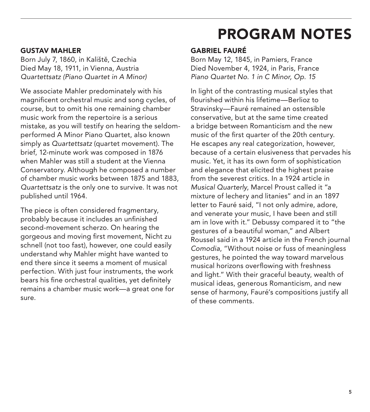#### GUSTAV MAHLER

Born July 7, 1860, in Kaliště, Czechia Died May 18, 1911, in Vienna, Austria *Quartettsatz (Piano Quartet in A Minor)*

We associate Mahler predominately with his magnificent orchestral music and song cycles, of course, but to omit his one remaining chamber music work from the repertoire is a serious mistake, as you will testify on hearing the seldomperformed A Minor Piano Quartet, also known simply as *Quartettsatz* (quartet movement). The brief, 12-minute work was composed in 1876 when Mahler was still a student at the Vienna Conservatory. Although he composed a number of chamber music works between 1875 and 1883, *Quartettsatz* is the only one to survive. It was not published until 1964.

The piece is often considered fragmentary, probably because it includes an unfinished second-movement scherzo. On hearing the gorgeous and moving first movement, Nicht zu schnell (not too fast), however, one could easily understand why Mahler might have wanted to end there since it seems a moment of musical perfection. With just four instruments, the work bears his fine orchestral qualities, yet definitely remains a chamber music work—a great one for sure.

## PROGRAM NOTES

### GABRIEL FAURÉ

Born May 12, 1845, in Pamiers, France Died November 4, 1924, in Paris, France *Piano Quartet No. 1 in C Minor, Op. 15*

In light of the contrasting musical styles that flourished within his lifetime—Berlioz to Stravinsky—Fauré remained an ostensible conservative, but at the same time created a bridge between Romanticism and the new music of the first quarter of the 20th century. He escapes any real categorization, however, because of a certain elusiveness that pervades his music. Yet, it has its own form of sophistication and elegance that elicited the highest praise from the severest critics. In a 1924 article in *Musical Quarterly*, Marcel Proust called it "a mixture of lechery and litanies" and in an 1897 letter to Fauré said, "I not only admire, adore, and venerate your music, I have been and still am in love with it." Debussy compared it to "the gestures of a beautiful woman," and Albert Roussel said in a 1924 article in the French journal *Comodia*, "Without noise or fuss of meaningless gestures, he pointed the way toward marvelous musical horizons overflowing with freshness and light." With their graceful beauty, wealth of musical ideas, generous Romanticism, and new sense of harmony, Fauré's compositions justify all of these comments.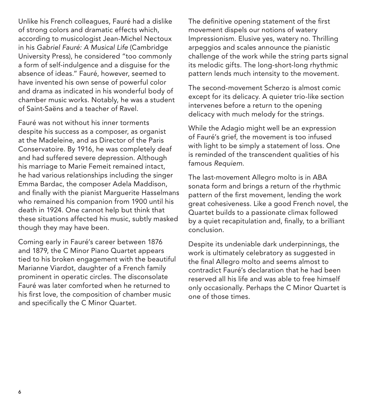Unlike his French colleagues, Fauré had a dislike of strong colors and dramatic effects which, according to musicologist Jean-Michel Nectoux in his *Gabriel Fauré: A Musical Life* (Cambridge University Press), he considered "too commonly a form of self-indulgence and a disguise for the absence of ideas." Fauré, however, seemed to have invented his own sense of powerful color and drama as indicated in his wonderful body of chamber music works. Notably, he was a student of Saint-Saëns and a teacher of Ravel.

Fauré was not without his inner torments despite his success as a composer, as organist at the Madeleine, and as Director of the Paris Conservatoire. By 1916, he was completely deaf and had suffered severe depression. Although his marriage to Marie Femeit remained intact, he had various relationships including the singer Emma Bardac, the composer Adela Maddison, and finally with the pianist Marguerite Hasselmans who remained his companion from 1900 until his death in 1924. One cannot help but think that these situations affected his music, subtly masked though they may have been.

Coming early in Fauré's career between 1876 and 1879, the C Minor Piano Quartet appears tied to his broken engagement with the beautiful Marianne Viardot, daughter of a French family prominent in operatic circles. The disconsolate Fauré was later comforted when he returned to his first love, the composition of chamber music and specifically the C Minor Quartet.

The definitive opening statement of the first movement dispels our notions of watery Impressionism. Elusive yes, watery no. Thrilling arpeggios and scales announce the pianistic challenge of the work while the string parts signal its melodic gifts. The long-short-long rhythmic pattern lends much intensity to the movement.

The second-movement Scherzo is almost comic except for its delicacy. A quieter trio-like section intervenes before a return to the opening delicacy with much melody for the strings.

While the Adagio might well be an expression of Fauré's grief, the movement is too infused with light to be simply a statement of loss. One is reminded of the transcendent qualities of his famous *Requiem*.

The last-movement Allegro molto is in ABA sonata form and brings a return of the rhythmic pattern of the first movement, lending the work great cohesiveness. Like a good French novel, the Quartet builds to a passionate climax followed by a quiet recapitulation and, finally, to a brilliant conclusion.

Despite its undeniable dark underpinnings, the work is ultimately celebratory as suggested in the final Allegro molto and seems almost to contradict Fauré's declaration that he had been reserved all his life and was able to free himself only occasionally. Perhaps the C Minor Quartet is one of those times.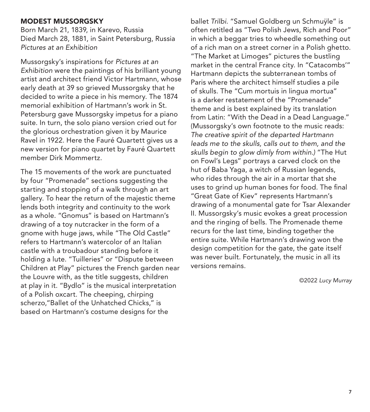#### MODEST MUSSORGSKY

Born March 21, 1839, in Karevo, Russia Died March 28, 1881, in Saint Petersburg, Russia *Pictures at an Exhibition*

Mussorgsky's inspirations for *Pictures at an Exhibition* were the paintings of his brilliant young artist and architect friend Victor Hartmann, whose early death at 39 so grieved Mussorgsky that he decided to write a piece in his memory. The 1874 memorial exhibition of Hartmann's work in St. Petersburg gave Mussorgsky impetus for a piano suite. In turn, the solo piano version cried out for the glorious orchestration given it by Maurice Ravel in 1922. Here the Fauré Quartett gives us a new version for piano quartet by Fauré Quartett member Dirk Mommertz.

The 15 movements of the work are punctuated by four "Promenade" sections suggesting the starting and stopping of a walk through an art gallery. To hear the return of the majestic theme lends both integrity and continuity to the work as a whole. "Gnomus" is based on Hartmann's drawing of a toy nutcracker in the form of a gnome with huge jaws, while "The Old Castle" refers to Hartmann's watercolor of an Italian castle with a troubadour standing before it holding a lute. "Tuilleries" or "Dispute between Children at Play" pictures the French garden near the Louvre with, as the title suggests, children at play in it. "Bydlo" is the musical interpretation of a Polish oxcart. The cheeping, chirping scherzo,"Ballet of the Unhatched Chicks," is based on Hartmann's costume designs for the

ballet *Trilbi.* "Samuel Goldberg un Schmuÿle" is often retitled as "Two Polish Jews, Rich and Poor" in which a beggar tries to wheedle something out of a rich man on a street corner in a Polish ghetto. "The Market at Limoges" pictures the bustling market in the central France city. In "Catacombs'" Hartmann depicts the subterranean tombs of Paris where the architect himself studies a pile of skulls. The "Cum mortuis in lingua mortua" is a darker restatement of the "Promenade" theme and is best explained by its translation from Latin: "With the Dead in a Dead Language." (Mussorgsky's own footnote to the music reads: *The creative spirit of the departed Hartmann leads me to the skulls, calls out to them, and the skulls begin to glow dimly from within.)* "The Hut on Fowl's Legs" portrays a carved clock on the hut of Baba Yaga, a witch of Russian legends, who rides through the air in a mortar that she uses to grind up human bones for food. The final "Great Gate of Kiev" represents Hartmann's drawing of a monumental gate for Tsar Alexander II. Mussorgsky's music evokes a great procession and the ringing of bells. The Promenade theme recurs for the last time, binding together the entire suite. While Hartmann's drawing won the design competition for the gate, the gate itself was never built. Fortunately, the music in all its versions remains.

©2022 *Lucy Murray*